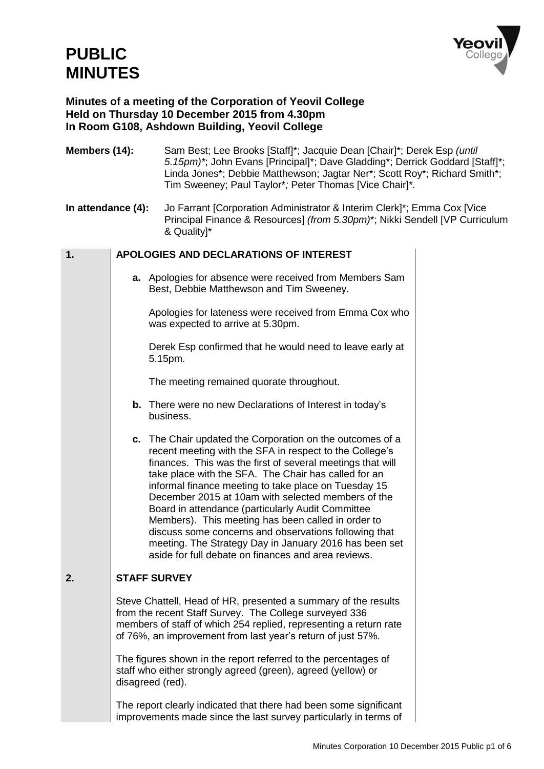# **PUBLIC MINUTES**



### **Minutes of a meeting of the Corporation of Yeovil College Held on Thursday 10 December 2015 from 4.30pm In Room G108, Ashdown Building, Yeovil College**

| Members (14):      |  | Sam Best; Lee Brooks [Staff]*; Jacquie Dean [Chair]*; Derek Esp (until<br>5.15pm)*; John Evans [Principal]*; Dave Gladding*; Derrick Goddard [Staff]*;<br>Linda Jones*; Debbie Matthewson; Jagtar Ner*; Scott Roy*; Richard Smith*;<br>Tim Sweeney; Paul Taylor*; Peter Thomas [Vice Chair]*.                                                                                                                                                                                                                                                                                                                                                |  |  |
|--------------------|--|----------------------------------------------------------------------------------------------------------------------------------------------------------------------------------------------------------------------------------------------------------------------------------------------------------------------------------------------------------------------------------------------------------------------------------------------------------------------------------------------------------------------------------------------------------------------------------------------------------------------------------------------|--|--|
| In attendance (4): |  | Jo Farrant [Corporation Administrator & Interim Clerk]*; Emma Cox [Vice<br>Principal Finance & Resources] (from 5.30pm)*; Nikki Sendell [VP Curriculum<br>& Quality]*                                                                                                                                                                                                                                                                                                                                                                                                                                                                        |  |  |
| 1.                 |  | APOLOGIES AND DECLARATIONS OF INTEREST                                                                                                                                                                                                                                                                                                                                                                                                                                                                                                                                                                                                       |  |  |
|                    |  | a. Apologies for absence were received from Members Sam<br>Best, Debbie Matthewson and Tim Sweeney.                                                                                                                                                                                                                                                                                                                                                                                                                                                                                                                                          |  |  |
|                    |  | Apologies for lateness were received from Emma Cox who<br>was expected to arrive at 5.30pm.                                                                                                                                                                                                                                                                                                                                                                                                                                                                                                                                                  |  |  |
|                    |  | Derek Esp confirmed that he would need to leave early at<br>5.15pm.                                                                                                                                                                                                                                                                                                                                                                                                                                                                                                                                                                          |  |  |
|                    |  | The meeting remained quorate throughout.                                                                                                                                                                                                                                                                                                                                                                                                                                                                                                                                                                                                     |  |  |
|                    |  | <b>b.</b> There were no new Declarations of Interest in today's<br>business.                                                                                                                                                                                                                                                                                                                                                                                                                                                                                                                                                                 |  |  |
|                    |  | c. The Chair updated the Corporation on the outcomes of a<br>recent meeting with the SFA in respect to the College's<br>finances. This was the first of several meetings that will<br>take place with the SFA. The Chair has called for an<br>informal finance meeting to take place on Tuesday 15<br>December 2015 at 10am with selected members of the<br>Board in attendance (particularly Audit Committee<br>Members). This meeting has been called in order to<br>discuss some concerns and observations following that<br>meeting. The Strategy Day in January 2016 has been set<br>aside for full debate on finances and area reviews |  |  |
| 2.                 |  | <b>STAFF SURVEY</b>                                                                                                                                                                                                                                                                                                                                                                                                                                                                                                                                                                                                                          |  |  |
|                    |  | Steve Chattell, Head of HR, presented a summary of the results<br>from the recent Staff Survey. The College surveyed 336<br>members of staff of which 254 replied, representing a return rate<br>of 76%, an improvement from last year's return of just 57%.                                                                                                                                                                                                                                                                                                                                                                                 |  |  |
|                    |  | The figures shown in the report referred to the percentages of<br>staff who either strongly agreed (green), agreed (yellow) or<br>disagreed (red).                                                                                                                                                                                                                                                                                                                                                                                                                                                                                           |  |  |
|                    |  | The report clearly indicated that there had been some significant<br>improvements made since the last survey particularly in terms of                                                                                                                                                                                                                                                                                                                                                                                                                                                                                                        |  |  |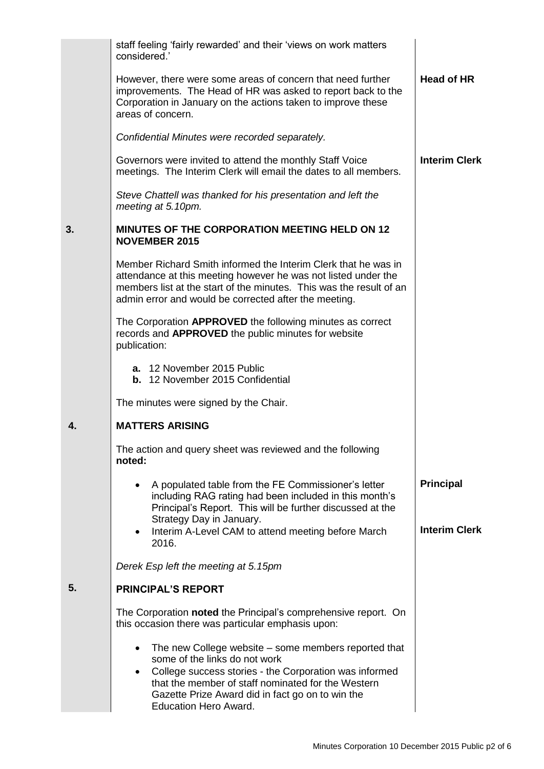|    | staff feeling 'fairly rewarded' and their 'views on work matters<br>considered.'                                                                                                                                                                                                                                    |                                          |
|----|---------------------------------------------------------------------------------------------------------------------------------------------------------------------------------------------------------------------------------------------------------------------------------------------------------------------|------------------------------------------|
|    | However, there were some areas of concern that need further<br>improvements. The Head of HR was asked to report back to the<br>Corporation in January on the actions taken to improve these<br>areas of concern.                                                                                                    | <b>Head of HR</b>                        |
|    | Confidential Minutes were recorded separately.                                                                                                                                                                                                                                                                      |                                          |
|    | Governors were invited to attend the monthly Staff Voice<br>meetings. The Interim Clerk will email the dates to all members.                                                                                                                                                                                        | <b>Interim Clerk</b>                     |
|    | Steve Chattell was thanked for his presentation and left the<br>meeting at 5.10pm.                                                                                                                                                                                                                                  |                                          |
| 3. | <b>MINUTES OF THE CORPORATION MEETING HELD ON 12</b><br><b>NOVEMBER 2015</b>                                                                                                                                                                                                                                        |                                          |
|    | Member Richard Smith informed the Interim Clerk that he was in<br>attendance at this meeting however he was not listed under the<br>members list at the start of the minutes. This was the result of an<br>admin error and would be corrected after the meeting.                                                    |                                          |
|    | The Corporation APPROVED the following minutes as correct<br>records and APPROVED the public minutes for website<br>publication:                                                                                                                                                                                    |                                          |
|    | a. 12 November 2015 Public<br><b>b.</b> 12 November 2015 Confidential                                                                                                                                                                                                                                               |                                          |
|    | The minutes were signed by the Chair.                                                                                                                                                                                                                                                                               |                                          |
| 4. | <b>MATTERS ARISING</b>                                                                                                                                                                                                                                                                                              |                                          |
|    | The action and query sheet was reviewed and the following<br>noted:                                                                                                                                                                                                                                                 |                                          |
|    | A populated table from the FE Commissioner's letter<br>including RAG rating had been included in this month's<br>Principal's Report. This will be further discussed at the<br>Strategy Day in January.                                                                                                              | <b>Principal</b><br><b>Interim Clerk</b> |
|    | Interim A-Level CAM to attend meeting before March<br>$\bullet$<br>2016.                                                                                                                                                                                                                                            |                                          |
|    | Derek Esp left the meeting at 5.15pm                                                                                                                                                                                                                                                                                |                                          |
| 5. | <b>PRINCIPAL'S REPORT</b>                                                                                                                                                                                                                                                                                           |                                          |
|    | The Corporation noted the Principal's comprehensive report. On<br>this occasion there was particular emphasis upon:                                                                                                                                                                                                 |                                          |
|    | The new College website – some members reported that<br>$\bullet$<br>some of the links do not work<br>College success stories - the Corporation was informed<br>$\bullet$<br>that the member of staff nominated for the Western<br>Gazette Prize Award did in fact go on to win the<br><b>Education Hero Award.</b> |                                          |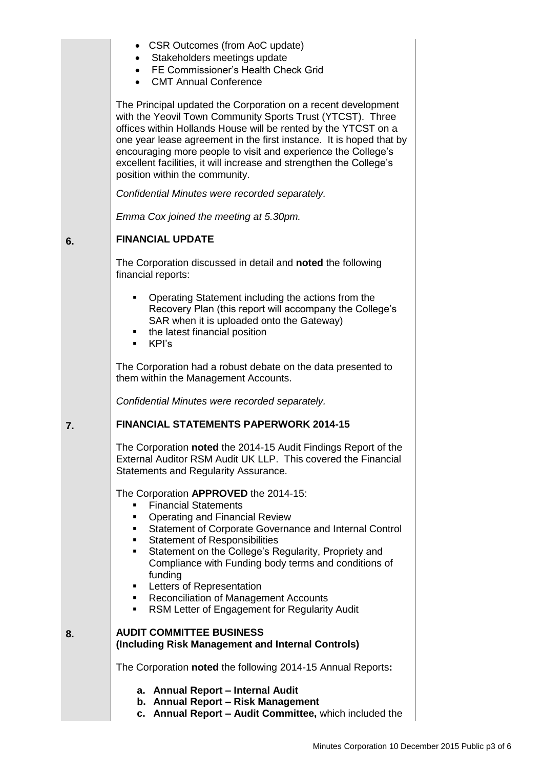|    | • CSR Outcomes (from AoC update)<br>• Stakeholders meetings update<br>• FE Commissioner's Health Check Grid<br>• CMT Annual Conference                                                                                                                                                                                                                                                                                                                                                                                      |
|----|-----------------------------------------------------------------------------------------------------------------------------------------------------------------------------------------------------------------------------------------------------------------------------------------------------------------------------------------------------------------------------------------------------------------------------------------------------------------------------------------------------------------------------|
|    | The Principal updated the Corporation on a recent development<br>with the Yeovil Town Community Sports Trust (YTCST). Three<br>offices within Hollands House will be rented by the YTCST on a<br>one year lease agreement in the first instance. It is hoped that by<br>encouraging more people to visit and experience the College's<br>excellent facilities, it will increase and strengthen the College's<br>position within the community.                                                                              |
|    | Confidential Minutes were recorded separately.                                                                                                                                                                                                                                                                                                                                                                                                                                                                              |
|    | Emma Cox joined the meeting at 5.30pm.                                                                                                                                                                                                                                                                                                                                                                                                                                                                                      |
| 6. | <b>FINANCIAL UPDATE</b>                                                                                                                                                                                                                                                                                                                                                                                                                                                                                                     |
|    | The Corporation discussed in detail and noted the following<br>financial reports:                                                                                                                                                                                                                                                                                                                                                                                                                                           |
|    | Operating Statement including the actions from the<br>$\blacksquare$<br>Recovery Plan (this report will accompany the College's<br>SAR when it is uploaded onto the Gateway)<br>• the latest financial position<br>■ KPI's                                                                                                                                                                                                                                                                                                  |
|    | The Corporation had a robust debate on the data presented to<br>them within the Management Accounts.                                                                                                                                                                                                                                                                                                                                                                                                                        |
|    | Confidential Minutes were recorded separately.                                                                                                                                                                                                                                                                                                                                                                                                                                                                              |
| 7. | <b>FINANCIAL STATEMENTS PAPERWORK 2014-15</b>                                                                                                                                                                                                                                                                                                                                                                                                                                                                               |
|    | The Corporation noted the 2014-15 Audit Findings Report of the<br>External Auditor RSM Audit UK LLP. This covered the Financial<br>Statements and Regularity Assurance.                                                                                                                                                                                                                                                                                                                                                     |
|    | The Corporation APPROVED the 2014-15:<br><b>Financial Statements</b><br><b>Operating and Financial Review</b><br>٠<br>Statement of Corporate Governance and Internal Control<br>$\mathbf{r}$<br><b>Statement of Responsibilities</b><br>Statement on the College's Regularity, Propriety and<br>٠<br>Compliance with Funding body terms and conditions of<br>funding<br>Letters of Representation<br>$\blacksquare$<br><b>Reconciliation of Management Accounts</b><br>. .<br>RSM Letter of Engagement for Regularity Audit |
| 8. | <b>AUDIT COMMITTEE BUSINESS</b><br>(Including Risk Management and Internal Controls)                                                                                                                                                                                                                                                                                                                                                                                                                                        |
|    | The Corporation noted the following 2014-15 Annual Reports:                                                                                                                                                                                                                                                                                                                                                                                                                                                                 |
|    | a. Annual Report - Internal Audit                                                                                                                                                                                                                                                                                                                                                                                                                                                                                           |
|    | b. Annual Report - Risk Management<br>c. Annual Report - Audit Committee, which included the                                                                                                                                                                                                                                                                                                                                                                                                                                |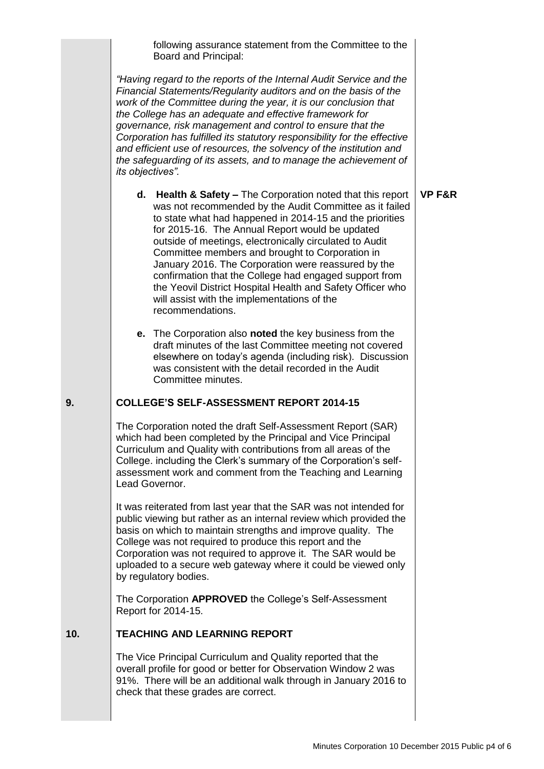following assurance statement from the Committee to the Board and Principal:

*"Having regard to the reports of the Internal Audit Service and the Financial Statements/Regularity auditors and on the basis of the work of the Committee during the year, it is our conclusion that the College has an adequate and effective framework for governance, risk management and control to ensure that the Corporation has fulfilled its statutory responsibility for the effective and efficient use of resources, the solvency of the institution and the safeguarding of its assets, and to manage the achievement of its objectives".*

- **d. Health & Safety –** The Corporation noted that this report was not recommended by the Audit Committee as it failed to state what had happened in 2014-15 and the priorities for 2015-16. The Annual Report would be updated outside of meetings, electronically circulated to Audit Committee members and brought to Corporation in January 2016. The Corporation were reassured by the confirmation that the College had engaged support from the Yeovil District Hospital Health and Safety Officer who will assist with the implementations of the recommendations.
- **e.** The Corporation also **noted** the key business from the draft minutes of the last Committee meeting not covered elsewhere on today's agenda (including risk). Discussion was consistent with the detail recorded in the Audit Committee minutes.

#### **9. COLLEGE'S SELF-ASSESSMENT REPORT 2014-15**

The Corporation noted the draft Self-Assessment Report (SAR) which had been completed by the Principal and Vice Principal Curriculum and Quality with contributions from all areas of the College. including the Clerk's summary of the Corporation's selfassessment work and comment from the Teaching and Learning Lead Governor.

It was reiterated from last year that the SAR was not intended for public viewing but rather as an internal review which provided the basis on which to maintain strengths and improve quality. The College was not required to produce this report and the Corporation was not required to approve it. The SAR would be uploaded to a secure web gateway where it could be viewed only by regulatory bodies.

The Corporation **APPROVED** the College's Self-Assessment Report for 2014-15.

#### **10. TEACHING AND LEARNING REPORT**

The Vice Principal Curriculum and Quality reported that the overall profile for good or better for Observation Window 2 was 91%. There will be an additional walk through in January 2016 to check that these grades are correct.

**VP F&R**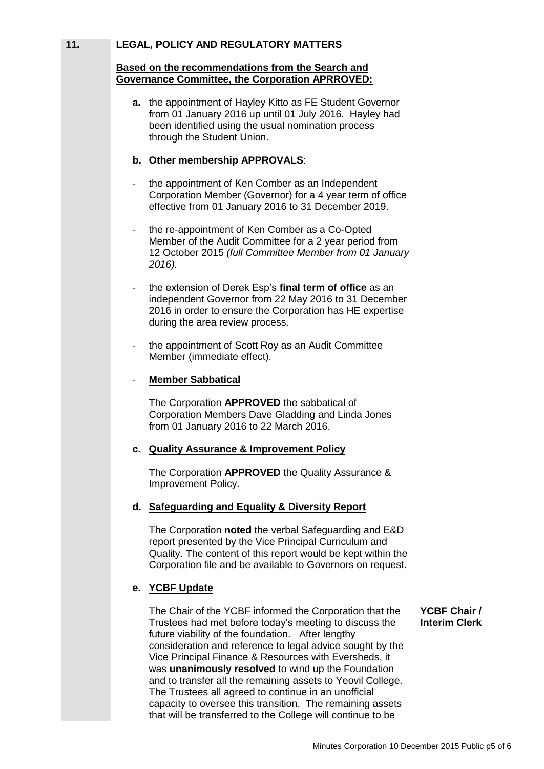| 11. |   | <b>LEGAL, POLICY AND REGULATORY MATTERS</b>                                                                                                                                                                                                                                                                                                                                                                                                                                                                                            |                                             |
|-----|---|----------------------------------------------------------------------------------------------------------------------------------------------------------------------------------------------------------------------------------------------------------------------------------------------------------------------------------------------------------------------------------------------------------------------------------------------------------------------------------------------------------------------------------------|---------------------------------------------|
|     |   | Based on the recommendations from the Search and<br><b>Governance Committee, the Corporation APRROVED:</b>                                                                                                                                                                                                                                                                                                                                                                                                                             |                                             |
|     |   | a. the appointment of Hayley Kitto as FE Student Governor<br>from 01 January 2016 up until 01 July 2016. Hayley had<br>been identified using the usual nomination process<br>through the Student Union.                                                                                                                                                                                                                                                                                                                                |                                             |
|     |   | b. Other membership APPROVALS:                                                                                                                                                                                                                                                                                                                                                                                                                                                                                                         |                                             |
|     | - | the appointment of Ken Comber as an Independent<br>Corporation Member (Governor) for a 4 year term of office<br>effective from 01 January 2016 to 31 December 2019.                                                                                                                                                                                                                                                                                                                                                                    |                                             |
|     |   | the re-appointment of Ken Comber as a Co-Opted<br>Member of the Audit Committee for a 2 year period from<br>12 October 2015 (full Committee Member from 01 January<br>2016).                                                                                                                                                                                                                                                                                                                                                           |                                             |
|     |   | the extension of Derek Esp's final term of office as an<br>independent Governor from 22 May 2016 to 31 December<br>2016 in order to ensure the Corporation has HE expertise<br>during the area review process.                                                                                                                                                                                                                                                                                                                         |                                             |
|     |   | the appointment of Scott Roy as an Audit Committee<br>Member (immediate effect).                                                                                                                                                                                                                                                                                                                                                                                                                                                       |                                             |
|     |   | <b>Member Sabbatical</b>                                                                                                                                                                                                                                                                                                                                                                                                                                                                                                               |                                             |
|     |   | The Corporation APPROVED the sabbatical of<br>Corporation Members Dave Gladding and Linda Jones<br>from 01 January 2016 to 22 March 2016.                                                                                                                                                                                                                                                                                                                                                                                              |                                             |
|     |   | <b>Quality Assurance &amp; Improvement Policy</b>                                                                                                                                                                                                                                                                                                                                                                                                                                                                                      |                                             |
|     |   | The Corporation APPROVED the Quality Assurance &<br>Improvement Policy.                                                                                                                                                                                                                                                                                                                                                                                                                                                                |                                             |
|     |   | d. Safeguarding and Equality & Diversity Report                                                                                                                                                                                                                                                                                                                                                                                                                                                                                        |                                             |
|     |   | The Corporation noted the verbal Safeguarding and E&D<br>report presented by the Vice Principal Curriculum and<br>Quality. The content of this report would be kept within the<br>Corporation file and be available to Governors on request.                                                                                                                                                                                                                                                                                           |                                             |
|     |   | e. YCBF Update                                                                                                                                                                                                                                                                                                                                                                                                                                                                                                                         |                                             |
|     |   | The Chair of the YCBF informed the Corporation that the<br>Trustees had met before today's meeting to discuss the<br>future viability of the foundation. After lengthy<br>consideration and reference to legal advice sought by the<br>Vice Principal Finance & Resources with Eversheds, it<br>was unanimously resolved to wind up the Foundation<br>and to transfer all the remaining assets to Yeovil College.<br>The Trustees all agreed to continue in an unofficial<br>capacity to oversee this transition. The remaining assets | <b>YCBF Chair /</b><br><b>Interim Clerk</b> |

that will be transferred to the College will continue to be